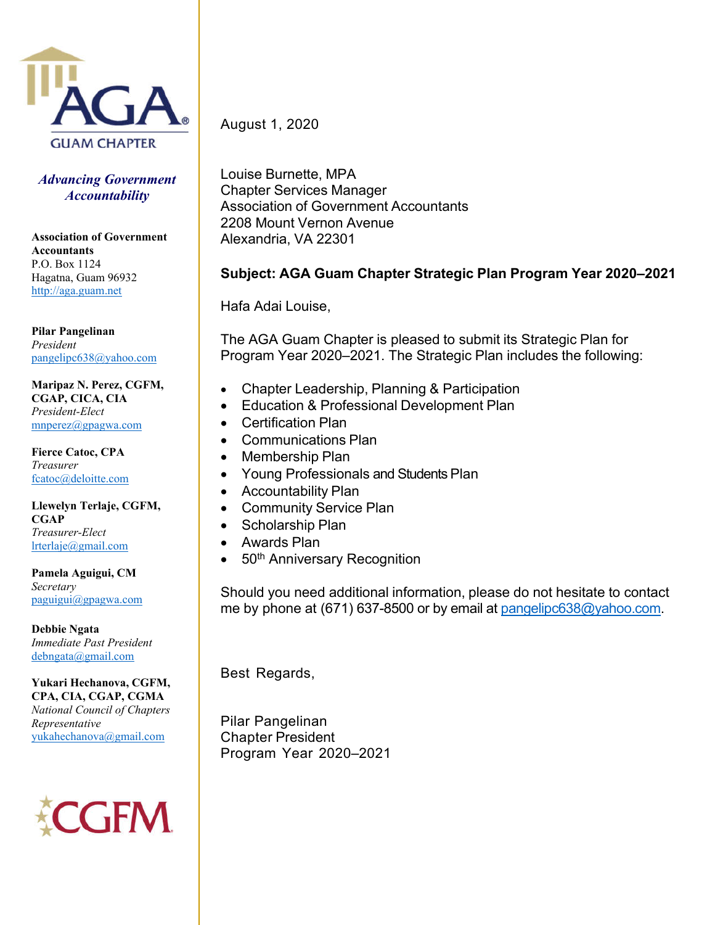

*Advancing Government Accountability*

**Association of Government Accountants** P.O. Box 1124 Hagatna, Guam 96932 http://aga.guam.net

**Pilar Pangelinan** *President* pangelipc638@yahoo.com

**Maripaz N. Perez, CGFM, CGAP, CICA, CIA** *President-Elect* mnperez@gpagwa.com

**Fierce Catoc, CPA** *Treasurer*  fcatoc@deloitte.com

**Llewelyn Terlaje, CGFM, CGAP** *Treasurer-Elect* lrterlaje@gmail.com

**Pamela Aguigui, CM** *Secretary*  paguigui@gpagwa.com

**Debbie Ngata** *Immediate Past President* debngata@gmail.com

**Yukari Hechanova, CGFM, CPA, CIA, CGAP, CGMA** *National Council of Chapters Representative* yukahechanova@gmail.com

# **CGFM**

August 1, 2020

Louise Burnette, MPA Chapter Services Manager Association of Government Accountants 2208 Mount Vernon Avenue Alexandria, VA 22301

#### **Subject: AGA Guam Chapter Strategic Plan Program Year 2020–2021**

Hafa Adai Louise,

The AGA Guam Chapter is pleased to submit its Strategic Plan for Program Year 2020–2021. The Strategic Plan includes the following:

- Chapter Leadership, Planning & Participation
- **Education & Professional Development Plan**
- Certification Plan
- Communications Plan
- Membership Plan
- Young Professionals and Students Plan
- Accountability Plan
- Community Service Plan
- Scholarship Plan
- Awards Plan
- $\bullet$  50<sup>th</sup> Anniversary Recognition

Should you need additional information, please do not hesitate to contact me by phone at (671) 637-8500 or by email at pangelipc638@yahoo.com.

Best Regards,

Pilar Pangelinan Chapter President Program Year 2020–2021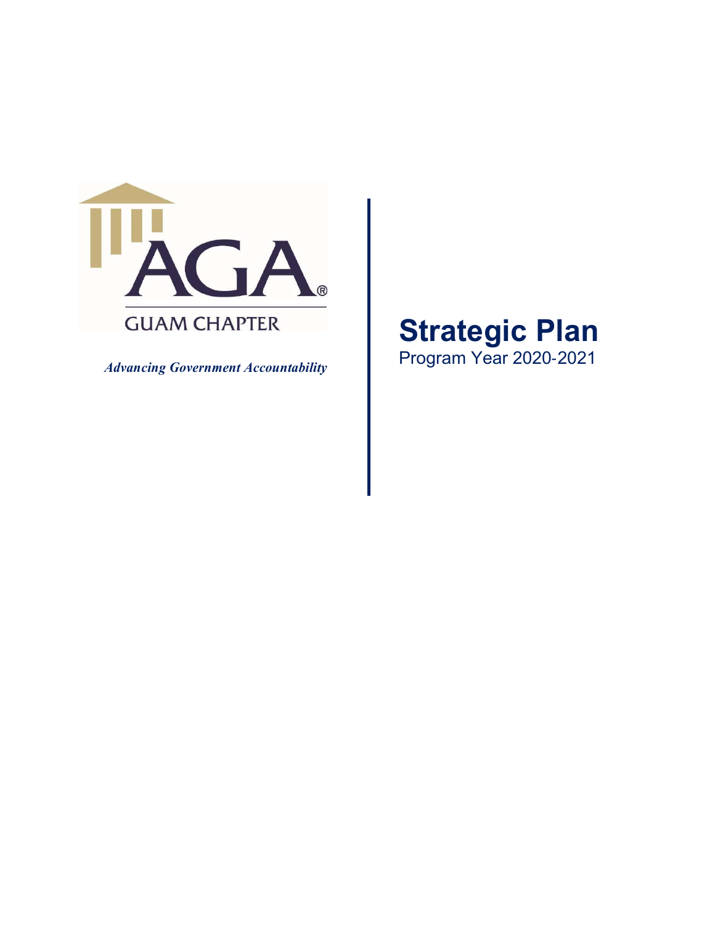

*Advancing Government Accountability* 

**Strategic Plan** Program Year 2020‐2021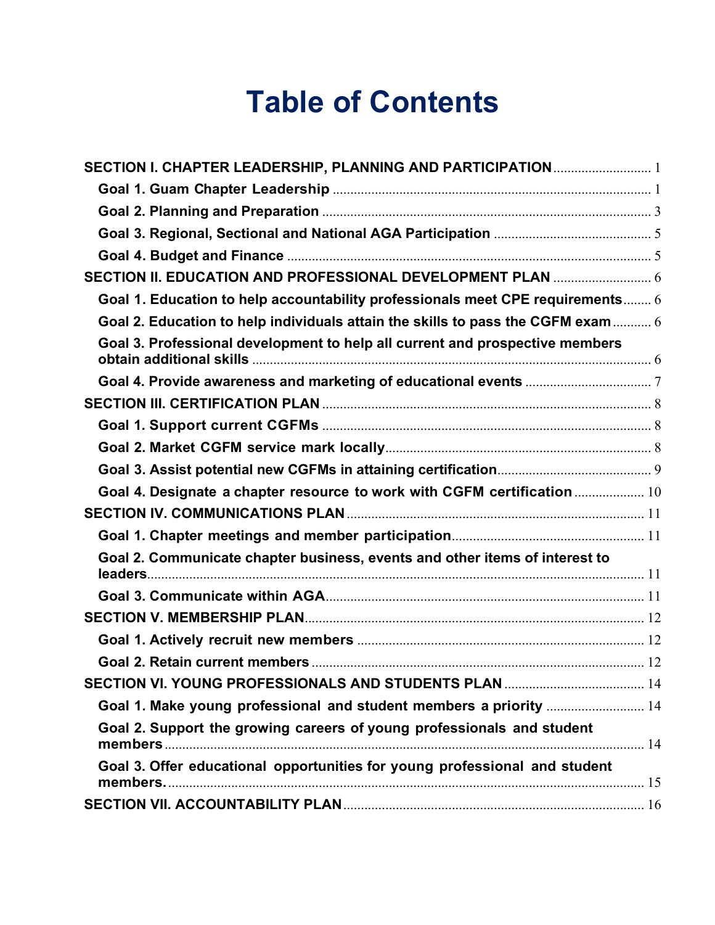# **Table of Contents**

| SECTION I. CHAPTER LEADERSHIP, PLANNING AND PARTICIPATION  1                     |  |
|----------------------------------------------------------------------------------|--|
|                                                                                  |  |
|                                                                                  |  |
|                                                                                  |  |
|                                                                                  |  |
|                                                                                  |  |
| Goal 1. Education to help accountability professionals meet CPE requirements 6   |  |
| Goal 2. Education to help individuals attain the skills to pass the CGFM exam  6 |  |
| Goal 3. Professional development to help all current and prospective members     |  |
|                                                                                  |  |
|                                                                                  |  |
|                                                                                  |  |
|                                                                                  |  |
|                                                                                  |  |
| Goal 4. Designate a chapter resource to work with CGFM certification  10         |  |
|                                                                                  |  |
|                                                                                  |  |
| Goal 2. Communicate chapter business, events and other items of interest to      |  |
|                                                                                  |  |
|                                                                                  |  |
|                                                                                  |  |
|                                                                                  |  |
|                                                                                  |  |
| Goal 1. Make young professional and student members a priority  14               |  |
| Goal 2. Support the growing careers of young professionals and student           |  |
| Goal 3. Offer educational opportunities for young professional and student       |  |
|                                                                                  |  |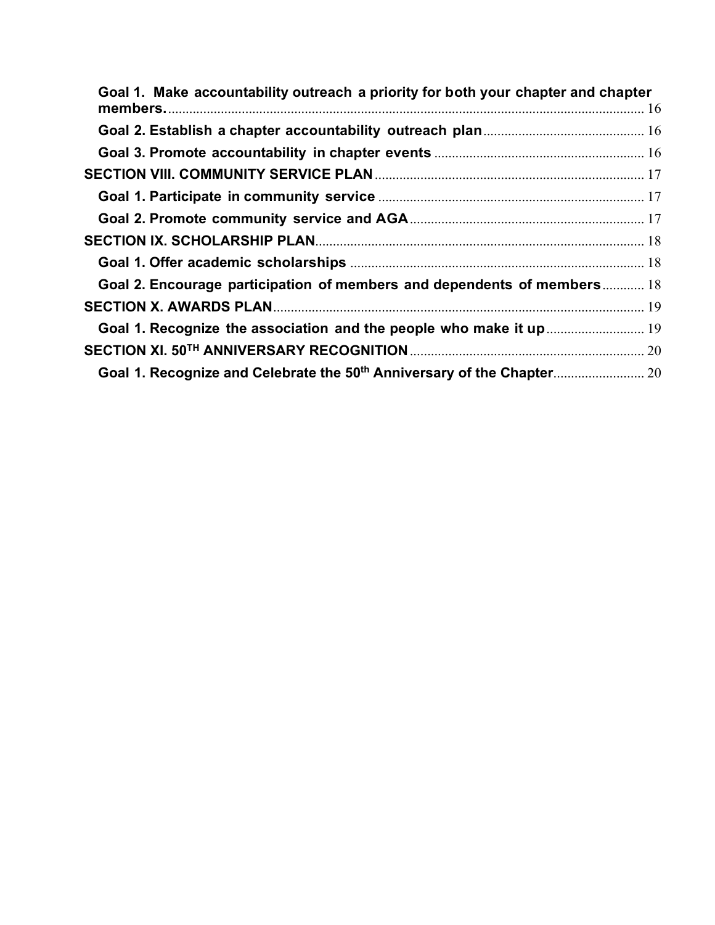| Goal 1. Make accountability outreach a priority for both your chapter and chapter |  |
|-----------------------------------------------------------------------------------|--|
|                                                                                   |  |
|                                                                                   |  |
|                                                                                   |  |
|                                                                                   |  |
|                                                                                   |  |
|                                                                                   |  |
|                                                                                   |  |
| Goal 2. Encourage participation of members and dependents of members 18           |  |
|                                                                                   |  |
|                                                                                   |  |
|                                                                                   |  |
|                                                                                   |  |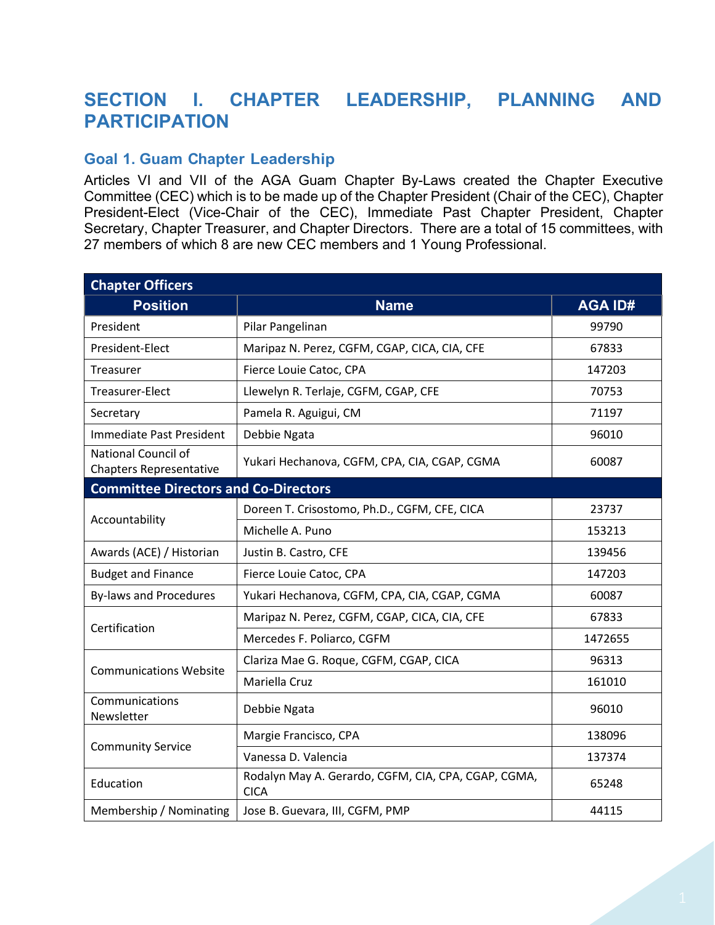# **SECTION I. CHAPTER LEADERSHIP, PLANNING AND PARTICIPATION**

#### **Goal 1. Guam Chapter Leadership**

Articles VI and VII of the AGA Guam Chapter By-Laws created the Chapter Executive Committee (CEC) which is to be made up of the Chapter President (Chair of the CEC), Chapter President-Elect (Vice-Chair of the CEC), Immediate Past Chapter President, Chapter Secretary, Chapter Treasurer, and Chapter Directors. There are a total of 15 committees, with 27 members of which 8 are new CEC members and 1 Young Professional.

| <b>Chapter Officers</b>                               |                                                                    |                |  |  |
|-------------------------------------------------------|--------------------------------------------------------------------|----------------|--|--|
| <b>Position</b>                                       | <b>Name</b>                                                        | <b>AGA ID#</b> |  |  |
| President                                             | Pilar Pangelinan                                                   | 99790          |  |  |
| President-Elect                                       | Maripaz N. Perez, CGFM, CGAP, CICA, CIA, CFE                       | 67833          |  |  |
| Treasurer                                             | Fierce Louie Catoc, CPA                                            | 147203         |  |  |
| Treasurer-Elect                                       | Llewelyn R. Terlaje, CGFM, CGAP, CFE                               | 70753          |  |  |
| Secretary                                             | Pamela R. Aguigui, CM                                              | 71197          |  |  |
| Immediate Past President                              | Debbie Ngata                                                       | 96010          |  |  |
| National Council of<br><b>Chapters Representative</b> | Yukari Hechanova, CGFM, CPA, CIA, CGAP, CGMA                       | 60087          |  |  |
| <b>Committee Directors and Co-Directors</b>           |                                                                    |                |  |  |
| Accountability                                        | Doreen T. Crisostomo, Ph.D., CGFM, CFE, CICA                       | 23737          |  |  |
|                                                       | Michelle A. Puno                                                   | 153213         |  |  |
| Awards (ACE) / Historian                              | Justin B. Castro, CFE                                              | 139456         |  |  |
| <b>Budget and Finance</b>                             | Fierce Louie Catoc, CPA                                            | 147203         |  |  |
| <b>By-laws and Procedures</b>                         | Yukari Hechanova, CGFM, CPA, CIA, CGAP, CGMA                       | 60087          |  |  |
| Certification                                         | Maripaz N. Perez, CGFM, CGAP, CICA, CIA, CFE                       | 67833          |  |  |
|                                                       | Mercedes F. Poliarco, CGFM                                         | 1472655        |  |  |
| <b>Communications Website</b>                         | Clariza Mae G. Roque, CGFM, CGAP, CICA                             | 96313          |  |  |
|                                                       | Mariella Cruz                                                      | 161010         |  |  |
| Communications<br>Newsletter                          | Debbie Ngata                                                       | 96010          |  |  |
|                                                       | Margie Francisco, CPA                                              | 138096         |  |  |
| <b>Community Service</b>                              | Vanessa D. Valencia                                                | 137374         |  |  |
| Education                                             | Rodalyn May A. Gerardo, CGFM, CIA, CPA, CGAP, CGMA,<br><b>CICA</b> | 65248          |  |  |
| Membership / Nominating                               | Jose B. Guevara, III, CGFM, PMP                                    | 44115          |  |  |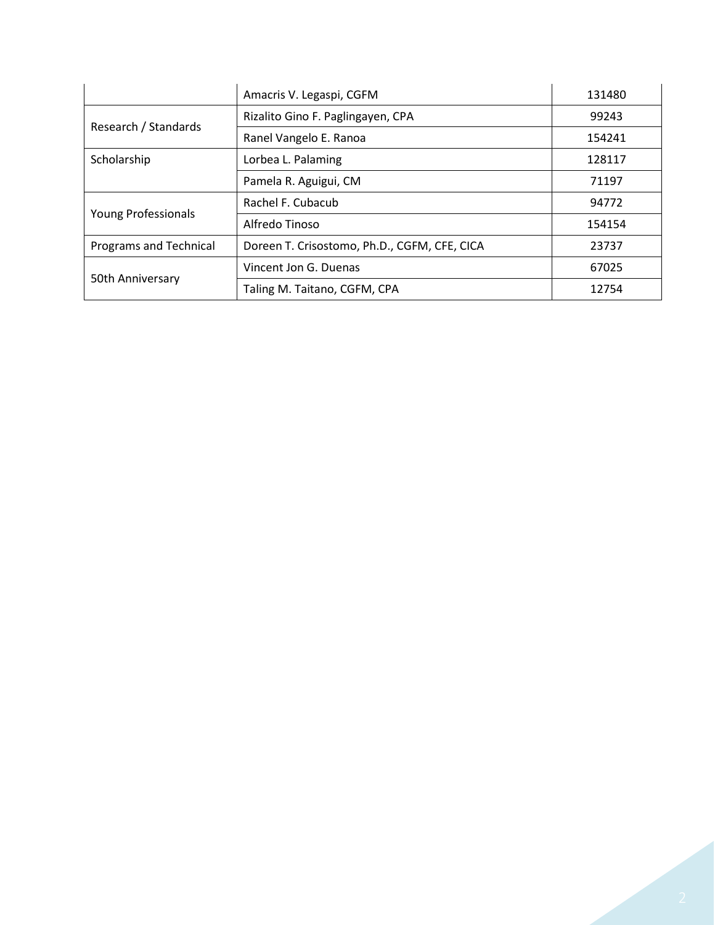|                                                                        | Amacris V. Legaspi, CGFM          | 131480 |
|------------------------------------------------------------------------|-----------------------------------|--------|
| Research / Standards                                                   | Rizalito Gino F. Paglingayen, CPA | 99243  |
|                                                                        | Ranel Vangelo E. Ranoa            | 154241 |
| Scholarship                                                            | Lorbea L. Palaming                | 128117 |
|                                                                        | Pamela R. Aguigui, CM             | 71197  |
| <b>Young Professionals</b>                                             | Rachel F. Cubacub                 | 94772  |
|                                                                        | Alfredo Tinoso                    | 154154 |
| Programs and Technical<br>Doreen T. Crisostomo, Ph.D., CGFM, CFE, CICA |                                   | 23737  |
|                                                                        | Vincent Jon G. Duenas             | 67025  |
| 50th Anniversary                                                       | Taling M. Taitano, CGFM, CPA      | 12754  |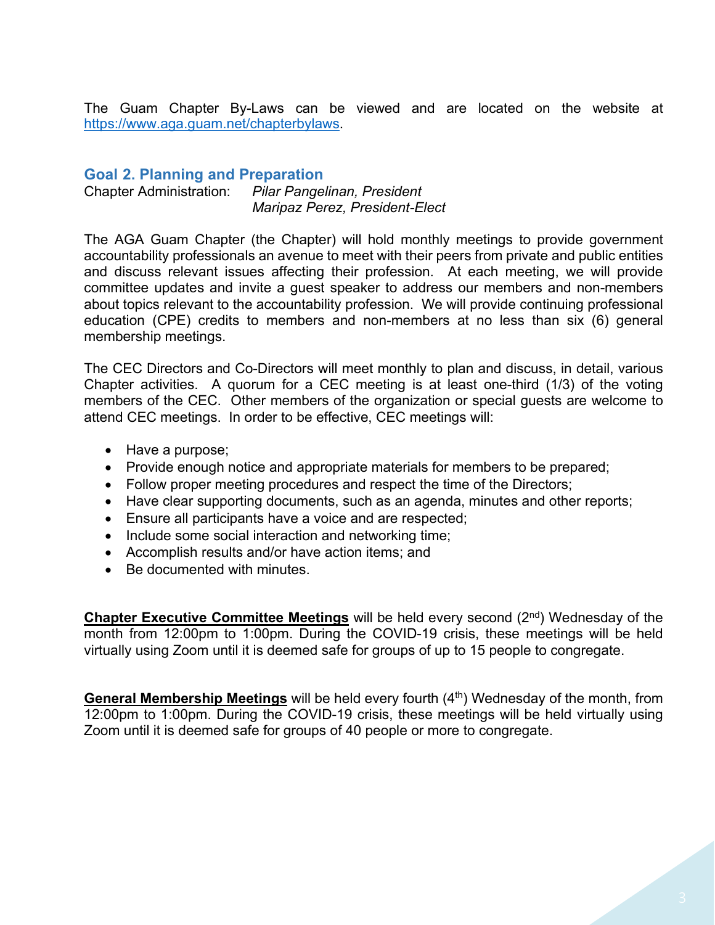The Guam Chapter By-Laws can be viewed and are located on the website at https://www.aga.guam.net/chapterbylaws.

#### **Goal 2. Planning and Preparation**

Chapter Administration: *Pilar Pangelinan, President Maripaz Perez, President-Elect*

The AGA Guam Chapter (the Chapter) will hold monthly meetings to provide government accountability professionals an avenue to meet with their peers from private and public entities and discuss relevant issues affecting their profession. At each meeting, we will provide committee updates and invite a guest speaker to address our members and non-members about topics relevant to the accountability profession. We will provide continuing professional education (CPE) credits to members and non-members at no less than six (6) general membership meetings.

The CEC Directors and Co-Directors will meet monthly to plan and discuss, in detail, various Chapter activities. A quorum for a CEC meeting is at least one-third (1/3) of the voting members of the CEC. Other members of the organization or special guests are welcome to attend CEC meetings. In order to be effective, CEC meetings will:

- Have a purpose;
- Provide enough notice and appropriate materials for members to be prepared;
- Follow proper meeting procedures and respect the time of the Directors;
- Have clear supporting documents, such as an agenda, minutes and other reports;
- Ensure all participants have a voice and are respected;
- Include some social interaction and networking time;
- Accomplish results and/or have action items; and
- Be documented with minutes.

**Chapter Executive Committee Meetings** will be held every second (2<sup>nd</sup>) Wednesday of the month from 12:00pm to 1:00pm. During the COVID-19 crisis, these meetings will be held virtually using Zoom until it is deemed safe for groups of up to 15 people to congregate.

**General Membership Meetings** will be held every fourth (4<sup>th</sup>) Wednesday of the month, from 12:00pm to 1:00pm. During the COVID-19 crisis, these meetings will be held virtually using Zoom until it is deemed safe for groups of 40 people or more to congregate.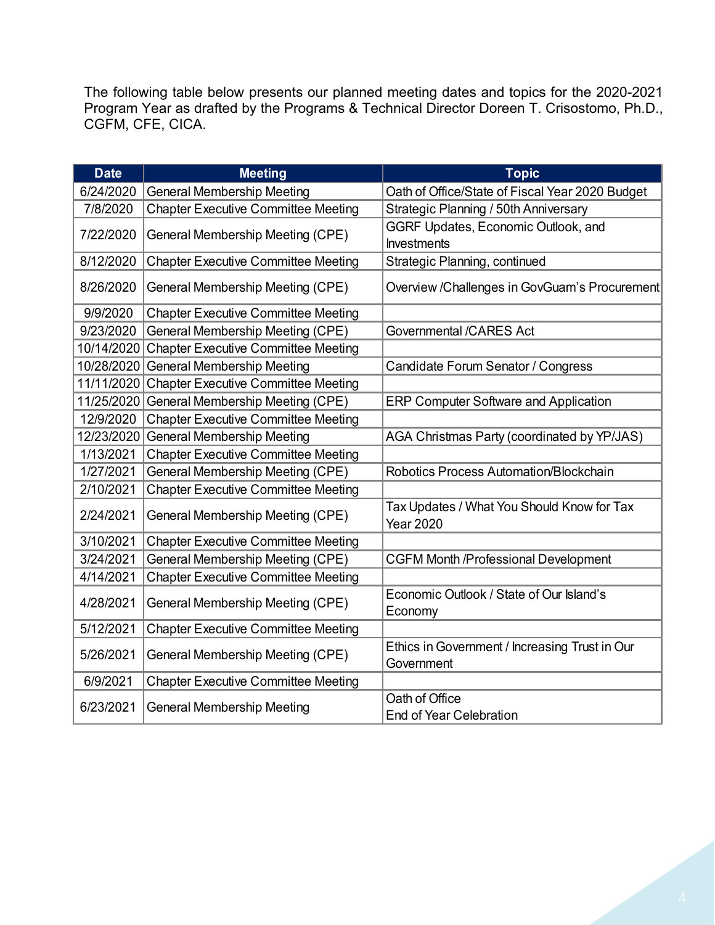The following table below presents our planned meeting dates and topics for the 2020-2021 Program Year as drafted by the Programs & Technical Director Doreen T. Crisostomo, Ph.D., CGFM, CFE, CICA.

| <b>Date</b> | <b>Meeting</b>                              | <b>Topic</b>                                                   |
|-------------|---------------------------------------------|----------------------------------------------------------------|
| 6/24/2020   | <b>General Membership Meeting</b>           | Oath of Office/State of Fiscal Year 2020 Budget                |
| 7/8/2020    | <b>Chapter Executive Committee Meeting</b>  | Strategic Planning / 50th Anniversary                          |
| 7/22/2020   | <b>General Membership Meeting (CPE)</b>     | GGRF Updates, Economic Outlook, and                            |
|             |                                             | <b>Investments</b>                                             |
| 8/12/2020   | <b>Chapter Executive Committee Meeting</b>  | Strategic Planning, continued                                  |
| 8/26/2020   | General Membership Meeting (CPE)            | Overview /Challenges in GovGuam's Procurement                  |
| 9/9/2020    | <b>Chapter Executive Committee Meeting</b>  |                                                                |
| 9/23/2020   | <b>General Membership Meeting (CPE)</b>     | Governmental /CARES Act                                        |
| 10/14/2020  | <b>Chapter Executive Committee Meeting</b>  |                                                                |
| 10/28/2020  | <b>General Membership Meeting</b>           | Candidate Forum Senator / Congress                             |
| 11/11/2020  | <b>Chapter Executive Committee Meeting</b>  |                                                                |
|             | 11/25/2020 General Membership Meeting (CPE) | <b>ERP Computer Software and Application</b>                   |
| 12/9/2020   | <b>Chapter Executive Committee Meeting</b>  |                                                                |
| 12/23/2020  | <b>General Membership Meeting</b>           | AGA Christmas Party (coordinated by YP/JAS)                    |
| 1/13/2021   | <b>Chapter Executive Committee Meeting</b>  |                                                                |
| 1/27/2021   | <b>General Membership Meeting (CPE)</b>     | Robotics Process Automation/Blockchain                         |
| 2/10/2021   | <b>Chapter Executive Committee Meeting</b>  |                                                                |
| 2/24/2021   | General Membership Meeting (CPE)            | Tax Updates / What You Should Know for Tax<br><b>Year 2020</b> |
| 3/10/2021   | <b>Chapter Executive Committee Meeting</b>  |                                                                |
| 3/24/2021   | <b>General Membership Meeting (CPE)</b>     | <b>CGFM Month /Professional Development</b>                    |
| 4/14/2021   | <b>Chapter Executive Committee Meeting</b>  |                                                                |
| 4/28/2021   | <b>General Membership Meeting (CPE)</b>     | Economic Outlook / State of Our Island's<br>Economy            |
| 5/12/2021   | <b>Chapter Executive Committee Meeting</b>  |                                                                |
| 5/26/2021   | General Membership Meeting (CPE)            | Ethics in Government / Increasing Trust in Our<br>Government   |
| 6/9/2021    | <b>Chapter Executive Committee Meeting</b>  |                                                                |
| 6/23/2021   |                                             | Oath of Office                                                 |
|             | <b>General Membership Meeting</b>           | <b>End of Year Celebration</b>                                 |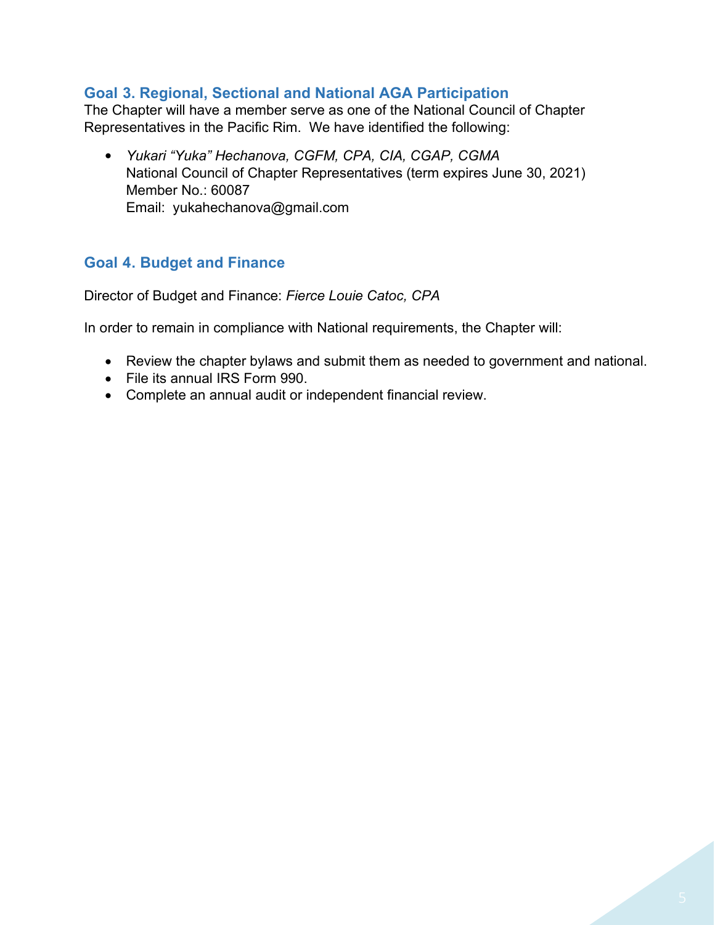#### **Goal 3. Regional, Sectional and National AGA Participation**

The Chapter will have a member serve as one of the National Council of Chapter Representatives in the Pacific Rim. We have identified the following:

 *Yukari "Yuka" Hechanova, CGFM, CPA, CIA, CGAP, CGMA* National Council of Chapter Representatives (term expires June 30, 2021) Member No.: 60087 Email: yukahechanova@gmail.com

#### **Goal 4. Budget and Finance**

Director of Budget and Finance: *Fierce Louie Catoc, CPA*

In order to remain in compliance with National requirements, the Chapter will:

- Review the chapter bylaws and submit them as needed to government and national.
- File its annual IRS Form 990.
- Complete an annual audit or independent financial review.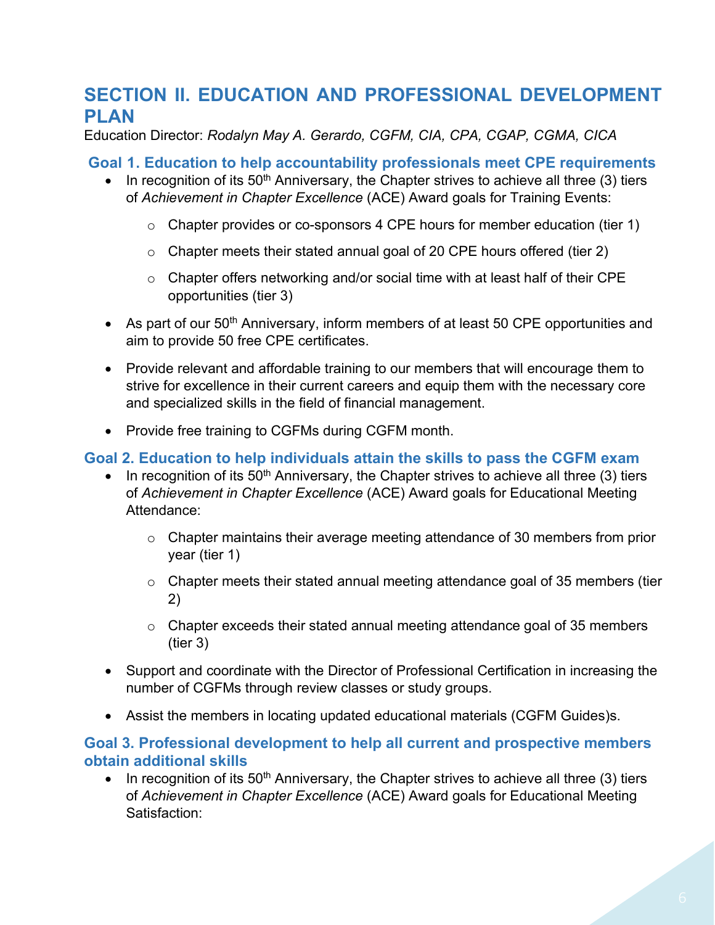# **SECTION II. EDUCATION AND PROFESSIONAL DEVELOPMENT PLAN**

Education Director: *Rodalyn May A. Gerardo, CGFM, CIA, CPA, CGAP, CGMA, CICA*

#### **Goal 1. Education to help accountability professionals meet CPE requirements**

- In recognition of its  $50<sup>th</sup>$  Anniversary, the Chapter strives to achieve all three (3) tiers of *Achievement in Chapter Excellence* (ACE) Award goals for Training Events:
	- $\circ$  Chapter provides or co-sponsors 4 CPE hours for member education (tier 1)
	- o Chapter meets their stated annual goal of 20 CPE hours offered (tier 2)
	- o Chapter offers networking and/or social time with at least half of their CPE opportunities (tier 3)
- As part of our 50<sup>th</sup> Anniversary, inform members of at least 50 CPE opportunities and aim to provide 50 free CPE certificates.
- Provide relevant and affordable training to our members that will encourage them to strive for excellence in their current careers and equip them with the necessary core and specialized skills in the field of financial management.
- Provide free training to CGFMs during CGFM month.

#### **Goal 2. Education to help individuals attain the skills to pass the CGFM exam**

- In recognition of its  $50<sup>th</sup>$  Anniversary, the Chapter strives to achieve all three (3) tiers of *Achievement in Chapter Excellence* (ACE) Award goals for Educational Meeting Attendance:
	- $\circ$  Chapter maintains their average meeting attendance of 30 members from prior year (tier 1)
	- $\circ$  Chapter meets their stated annual meeting attendance goal of 35 members (tier 2)
	- $\circ$  Chapter exceeds their stated annual meeting attendance goal of 35 members (tier 3)
- Support and coordinate with the Director of Professional Certification in increasing the number of CGFMs through review classes or study groups.
- Assist the members in locating updated educational materials (CGFM Guides)s.

#### **Goal 3. Professional development to help all current and prospective members obtain additional skills**

In recognition of its  $50<sup>th</sup>$  Anniversary, the Chapter strives to achieve all three (3) tiers of *Achievement in Chapter Excellence* (ACE) Award goals for Educational Meeting Satisfaction: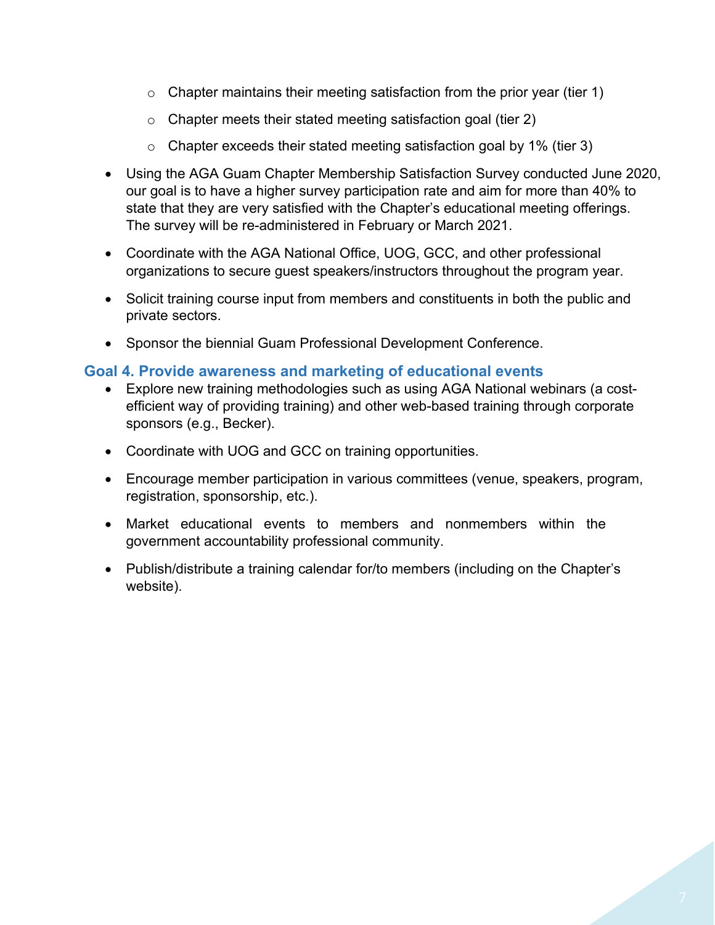- $\circ$  Chapter maintains their meeting satisfaction from the prior year (tier 1)
- $\circ$  Chapter meets their stated meeting satisfaction goal (tier 2)
- $\circ$  Chapter exceeds their stated meeting satisfaction goal by 1% (tier 3)
- Using the AGA Guam Chapter Membership Satisfaction Survey conducted June 2020, our goal is to have a higher survey participation rate and aim for more than 40% to state that they are very satisfied with the Chapter's educational meeting offerings. The survey will be re-administered in February or March 2021.
- Coordinate with the AGA National Office, UOG, GCC, and other professional organizations to secure guest speakers/instructors throughout the program year.
- Solicit training course input from members and constituents in both the public and private sectors.
- Sponsor the biennial Guam Professional Development Conference.

#### **Goal 4. Provide awareness and marketing of educational events**

- Explore new training methodologies such as using AGA National webinars (a costefficient way of providing training) and other web-based training through corporate sponsors (e.g., Becker).
- Coordinate with UOG and GCC on training opportunities.
- Encourage member participation in various committees (venue, speakers, program, registration, sponsorship, etc.).
- Market educational events to members and nonmembers within the government accountability professional community.
- Publish/distribute a training calendar for/to members (including on the Chapter's website).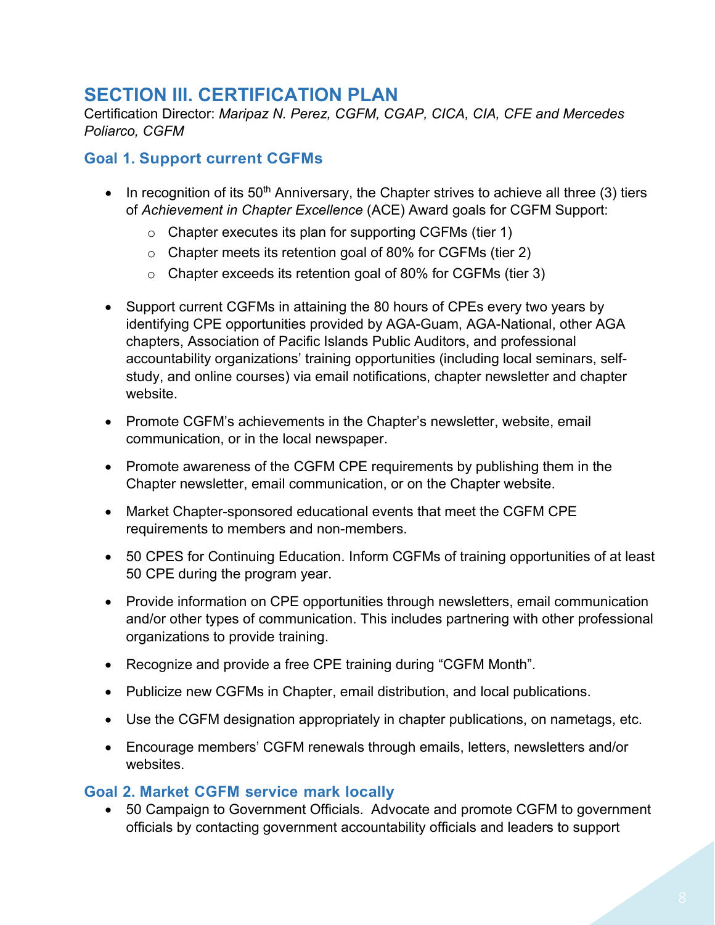# **SECTION III. CERTIFICATION PLAN**

Certification Director: *Maripaz N. Perez, CGFM, CGAP, CICA, CIA, CFE and Mercedes Poliarco, CGFM*

#### **Goal 1. Support current CGFMs**

- In recognition of its  $50<sup>th</sup>$  Anniversary, the Chapter strives to achieve all three (3) tiers of *Achievement in Chapter Excellence* (ACE) Award goals for CGFM Support:
	- o Chapter executes its plan for supporting CGFMs (tier 1)
	- $\circ$  Chapter meets its retention goal of 80% for CGFMs (tier 2)
	- $\circ$  Chapter exceeds its retention goal of 80% for CGFMs (tier 3)
- Support current CGFMs in attaining the 80 hours of CPEs every two years by identifying CPE opportunities provided by AGA-Guam, AGA-National, other AGA chapters, Association of Pacific Islands Public Auditors, and professional accountability organizations' training opportunities (including local seminars, selfstudy, and online courses) via email notifications, chapter newsletter and chapter website.
- Promote CGFM's achievements in the Chapter's newsletter, website, email communication, or in the local newspaper.
- Promote awareness of the CGFM CPE requirements by publishing them in the Chapter newsletter, email communication, or on the Chapter website.
- Market Chapter-sponsored educational events that meet the CGFM CPE requirements to members and non-members.
- 50 CPES for Continuing Education. Inform CGFMs of training opportunities of at least 50 CPE during the program year.
- Provide information on CPE opportunities through newsletters, email communication and/or other types of communication. This includes partnering with other professional organizations to provide training.
- Recognize and provide a free CPE training during "CGFM Month".
- Publicize new CGFMs in Chapter, email distribution, and local publications.
- Use the CGFM designation appropriately in chapter publications, on nametags, etc.
- Encourage members' CGFM renewals through emails, letters, newsletters and/or websites.

#### **Goal 2. Market CGFM service mark locally**

 50 Campaign to Government Officials. Advocate and promote CGFM to government officials by contacting government accountability officials and leaders to support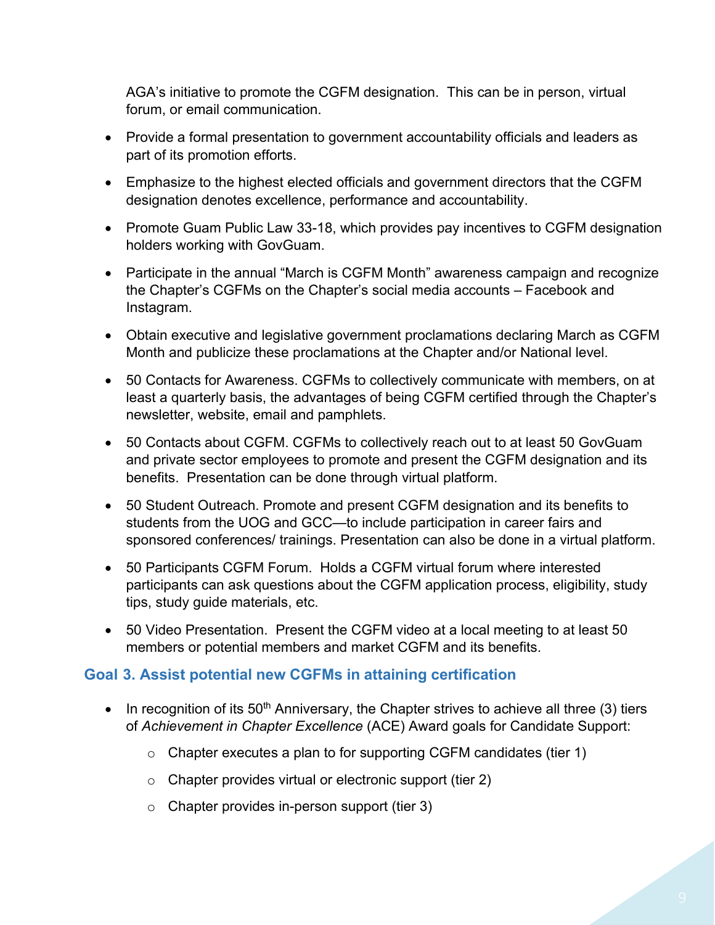AGA's initiative to promote the CGFM designation. This can be in person, virtual forum, or email communication.

- Provide a formal presentation to government accountability officials and leaders as part of its promotion efforts.
- Emphasize to the highest elected officials and government directors that the CGFM designation denotes excellence, performance and accountability.
- Promote Guam Public Law 33-18, which provides pay incentives to CGFM designation holders working with GovGuam.
- Participate in the annual "March is CGFM Month" awareness campaign and recognize the Chapter's CGFMs on the Chapter's social media accounts – Facebook and Instagram.
- Obtain executive and legislative government proclamations declaring March as CGFM Month and publicize these proclamations at the Chapter and/or National level.
- 50 Contacts for Awareness. CGFMs to collectively communicate with members, on at least a quarterly basis, the advantages of being CGFM certified through the Chapter's newsletter, website, email and pamphlets.
- 50 Contacts about CGFM. CGFMs to collectively reach out to at least 50 GovGuam and private sector employees to promote and present the CGFM designation and its benefits. Presentation can be done through virtual platform.
- 50 Student Outreach. Promote and present CGFM designation and its benefits to students from the UOG and GCC—to include participation in career fairs and sponsored conferences/ trainings. Presentation can also be done in a virtual platform.
- 50 Participants CGFM Forum. Holds a CGFM virtual forum where interested participants can ask questions about the CGFM application process, eligibility, study tips, study guide materials, etc.
- 50 Video Presentation. Present the CGFM video at a local meeting to at least 50 members or potential members and market CGFM and its benefits.

#### **Goal 3. Assist potential new CGFMs in attaining certification**

- In recognition of its  $50<sup>th</sup>$  Anniversary, the Chapter strives to achieve all three (3) tiers of *Achievement in Chapter Excellence* (ACE) Award goals for Candidate Support:
	- $\circ$  Chapter executes a plan to for supporting CGFM candidates (tier 1)
	- $\circ$  Chapter provides virtual or electronic support (tier 2)
	- $\circ$  Chapter provides in-person support (tier 3)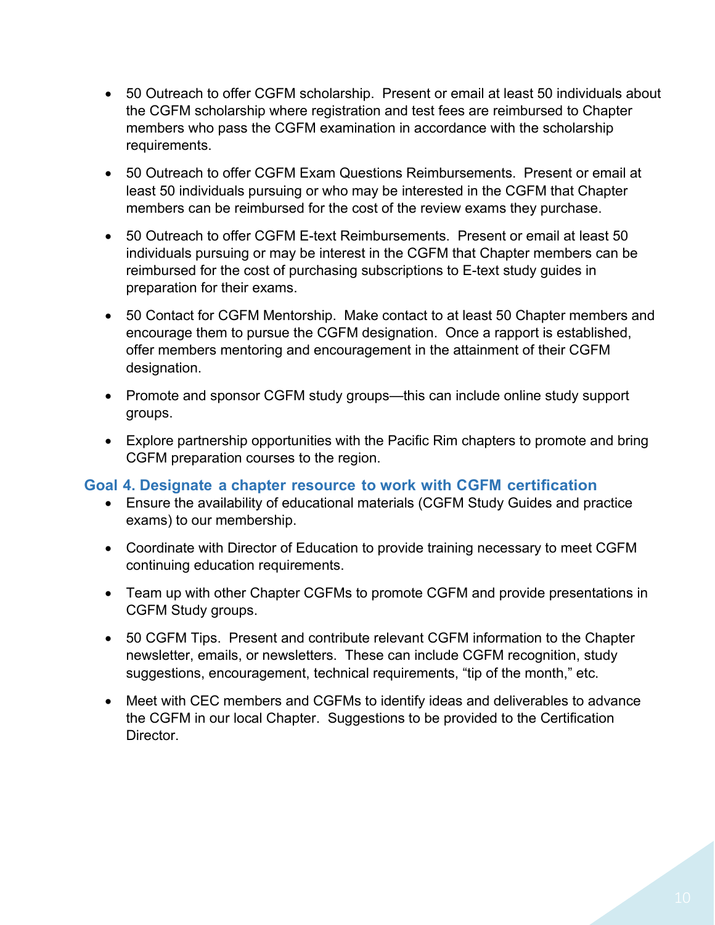- 50 Outreach to offer CGFM scholarship. Present or email at least 50 individuals about the CGFM scholarship where registration and test fees are reimbursed to Chapter members who pass the CGFM examination in accordance with the scholarship requirements.
- 50 Outreach to offer CGFM Exam Questions Reimbursements. Present or email at least 50 individuals pursuing or who may be interested in the CGFM that Chapter members can be reimbursed for the cost of the review exams they purchase.
- 50 Outreach to offer CGFM E-text Reimbursements. Present or email at least 50 individuals pursuing or may be interest in the CGFM that Chapter members can be reimbursed for the cost of purchasing subscriptions to E-text study guides in preparation for their exams.
- 50 Contact for CGFM Mentorship. Make contact to at least 50 Chapter members and encourage them to pursue the CGFM designation. Once a rapport is established, offer members mentoring and encouragement in the attainment of their CGFM designation.
- Promote and sponsor CGFM study groups—this can include online study support groups.
- Explore partnership opportunities with the Pacific Rim chapters to promote and bring CGFM preparation courses to the region.

#### **Goal 4. Designate a chapter resource to work with CGFM certification**

- Ensure the availability of educational materials (CGFM Study Guides and practice exams) to our membership.
- Coordinate with Director of Education to provide training necessary to meet CGFM continuing education requirements.
- Team up with other Chapter CGFMs to promote CGFM and provide presentations in CGFM Study groups.
- 50 CGFM Tips. Present and contribute relevant CGFM information to the Chapter newsletter, emails, or newsletters. These can include CGFM recognition, study suggestions, encouragement, technical requirements, "tip of the month," etc.
- Meet with CEC members and CGFMs to identify ideas and deliverables to advance the CGFM in our local Chapter. Suggestions to be provided to the Certification **Director**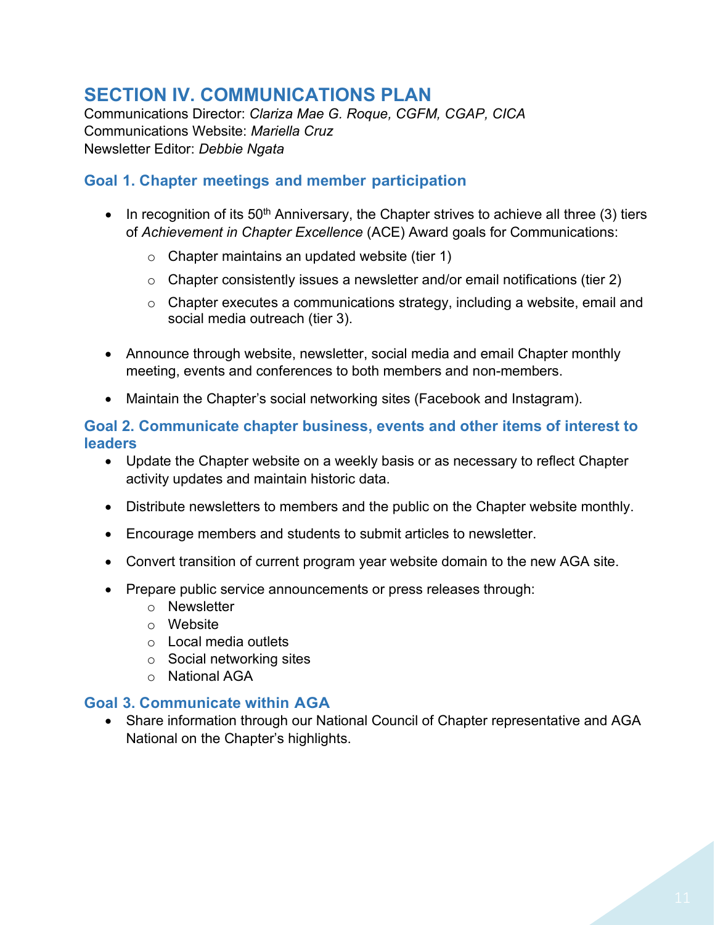## **SECTION IV. COMMUNICATIONS PLAN**

Communications Director: *Clariza Mae G. Roque, CGFM, CGAP, CICA* Communications Website: *Mariella Cruz* Newsletter Editor: *Debbie Ngata*

#### **Goal 1. Chapter meetings and member participation**

- In recognition of its  $50<sup>th</sup>$  Anniversary, the Chapter strives to achieve all three (3) tiers of *Achievement in Chapter Excellence* (ACE) Award goals for Communications:
	- $\circ$  Chapter maintains an updated website (tier 1)
	- $\circ$  Chapter consistently issues a newsletter and/or email notifications (tier 2)
	- $\circ$  Chapter executes a communications strategy, including a website, email and social media outreach (tier 3).
- Announce through website, newsletter, social media and email Chapter monthly meeting, events and conferences to both members and non-members.
- Maintain the Chapter's social networking sites (Facebook and Instagram).

#### **Goal 2. Communicate chapter business, events and other items of interest to leaders**

- Update the Chapter website on a weekly basis or as necessary to reflect Chapter activity updates and maintain historic data.
- Distribute newsletters to members and the public on the Chapter website monthly.
- Encourage members and students to submit articles to newsletter.
- Convert transition of current program year website domain to the new AGA site.
- Prepare public service announcements or press releases through:
	- o Newsletter
	- o Website
	- o Local media outlets
	- o Social networking sites
	- o National AGA

#### **Goal 3. Communicate within AGA**

 Share information through our National Council of Chapter representative and AGA National on the Chapter's highlights.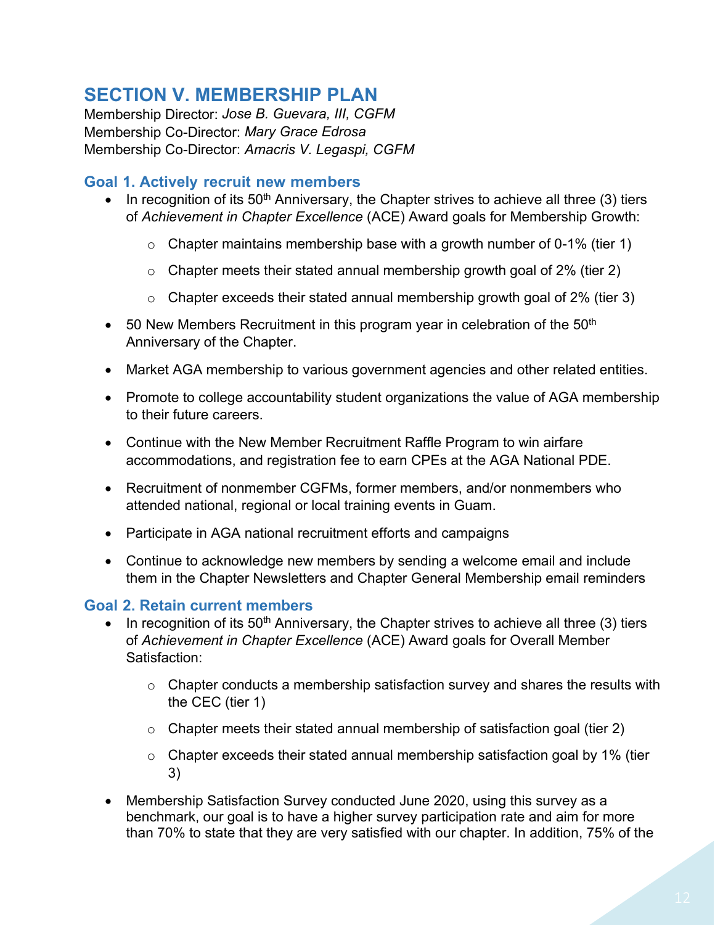# **SECTION V. MEMBERSHIP PLAN**

Membership Director: *Jose B. Guevara, III, CGFM* Membership Co-Director: *Mary Grace Edrosa* Membership Co-Director: *Amacris V. Legaspi, CGFM*

#### **Goal 1. Actively recruit new members**

- In recognition of its  $50<sup>th</sup>$  Anniversary, the Chapter strives to achieve all three (3) tiers of *Achievement in Chapter Excellence* (ACE) Award goals for Membership Growth:
	- $\circ$  Chapter maintains membership base with a growth number of 0-1% (tier 1)
	- $\circ$  Chapter meets their stated annual membership growth goal of 2% (tier 2)
	- $\circ$  Chapter exceeds their stated annual membership growth goal of 2% (tier 3)
- $\bullet$  50 New Members Recruitment in this program year in celebration of the 50<sup>th</sup> Anniversary of the Chapter.
- Market AGA membership to various government agencies and other related entities.
- Promote to college accountability student organizations the value of AGA membership to their future careers.
- Continue with the New Member Recruitment Raffle Program to win airfare accommodations, and registration fee to earn CPEs at the AGA National PDE.
- Recruitment of nonmember CGFMs, former members, and/or nonmembers who attended national, regional or local training events in Guam.
- Participate in AGA national recruitment efforts and campaigns
- Continue to acknowledge new members by sending a welcome email and include them in the Chapter Newsletters and Chapter General Membership email reminders

#### **Goal 2. Retain current members**

- In recognition of its  $50<sup>th</sup>$  Anniversary, the Chapter strives to achieve all three (3) tiers of *Achievement in Chapter Excellence* (ACE) Award goals for Overall Member Satisfaction:
	- $\circ$  Chapter conducts a membership satisfaction survey and shares the results with the CEC (tier 1)
	- o Chapter meets their stated annual membership of satisfaction goal (tier 2)
	- $\circ$  Chapter exceeds their stated annual membership satisfaction goal by 1% (tier 3)
- Membership Satisfaction Survey conducted June 2020, using this survey as a benchmark, our goal is to have a higher survey participation rate and aim for more than 70% to state that they are very satisfied with our chapter. In addition, 75% of the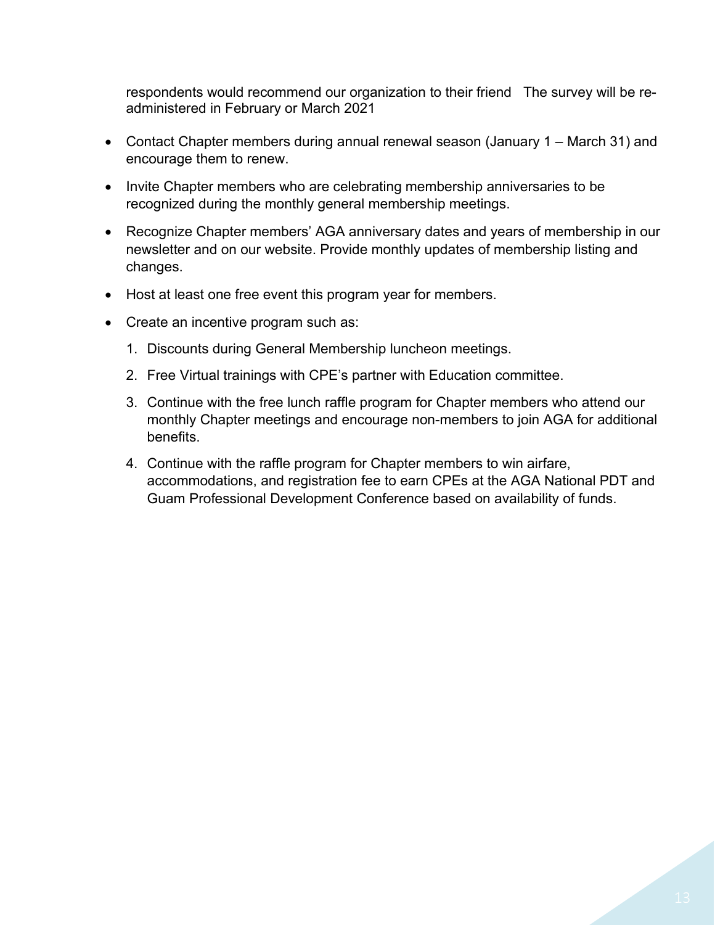respondents would recommend our organization to their friend The survey will be readministered in February or March 2021

- Contact Chapter members during annual renewal season (January 1 March 31) and encourage them to renew.
- Invite Chapter members who are celebrating membership anniversaries to be recognized during the monthly general membership meetings.
- Recognize Chapter members' AGA anniversary dates and years of membership in our newsletter and on our website. Provide monthly updates of membership listing and changes.
- Host at least one free event this program year for members.
- Create an incentive program such as:
	- 1. Discounts during General Membership luncheon meetings.
	- 2. Free Virtual trainings with CPE's partner with Education committee.
	- 3. Continue with the free lunch raffle program for Chapter members who attend our monthly Chapter meetings and encourage non-members to join AGA for additional benefits.
	- 4. Continue with the raffle program for Chapter members to win airfare, accommodations, and registration fee to earn CPEs at the AGA National PDT and Guam Professional Development Conference based on availability of funds.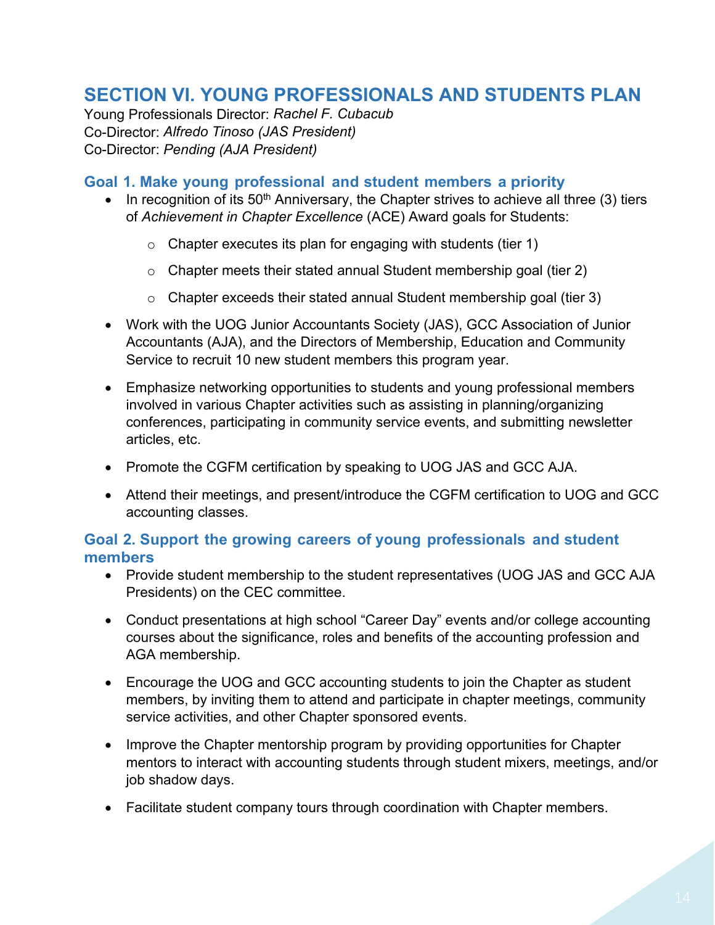# **SECTION VI. YOUNG PROFESSIONALS AND STUDENTS PLAN**

Young Professionals Director: *Rachel F. Cubacub* Co-Director: *Alfredo Tinoso (JAS President)* Co-Director: *Pending (AJA President)*

#### **Goal 1. Make young professional and student members a priority**

- In recognition of its  $50<sup>th</sup>$  Anniversary, the Chapter strives to achieve all three (3) tiers of *Achievement in Chapter Excellence* (ACE) Award goals for Students:
	- $\circ$  Chapter executes its plan for engaging with students (tier 1)
	- o Chapter meets their stated annual Student membership goal (tier 2)
	- $\circ$  Chapter exceeds their stated annual Student membership goal (tier 3)
- Work with the UOG Junior Accountants Society (JAS), GCC Association of Junior Accountants (AJA), and the Directors of Membership, Education and Community Service to recruit 10 new student members this program year.
- Emphasize networking opportunities to students and young professional members involved in various Chapter activities such as assisting in planning/organizing conferences, participating in community service events, and submitting newsletter articles, etc.
- Promote the CGFM certification by speaking to UOG JAS and GCC AJA.
- Attend their meetings, and present/introduce the CGFM certification to UOG and GCC accounting classes.

#### **Goal 2. Support the growing careers of young professionals and student members**

- Provide student membership to the student representatives (UOG JAS and GCC AJA Presidents) on the CEC committee.
- Conduct presentations at high school "Career Day" events and/or college accounting courses about the significance, roles and benefits of the accounting profession and AGA membership.
- Encourage the UOG and GCC accounting students to join the Chapter as student members, by inviting them to attend and participate in chapter meetings, community service activities, and other Chapter sponsored events.
- Improve the Chapter mentorship program by providing opportunities for Chapter mentors to interact with accounting students through student mixers, meetings, and/or job shadow days.
- Facilitate student company tours through coordination with Chapter members.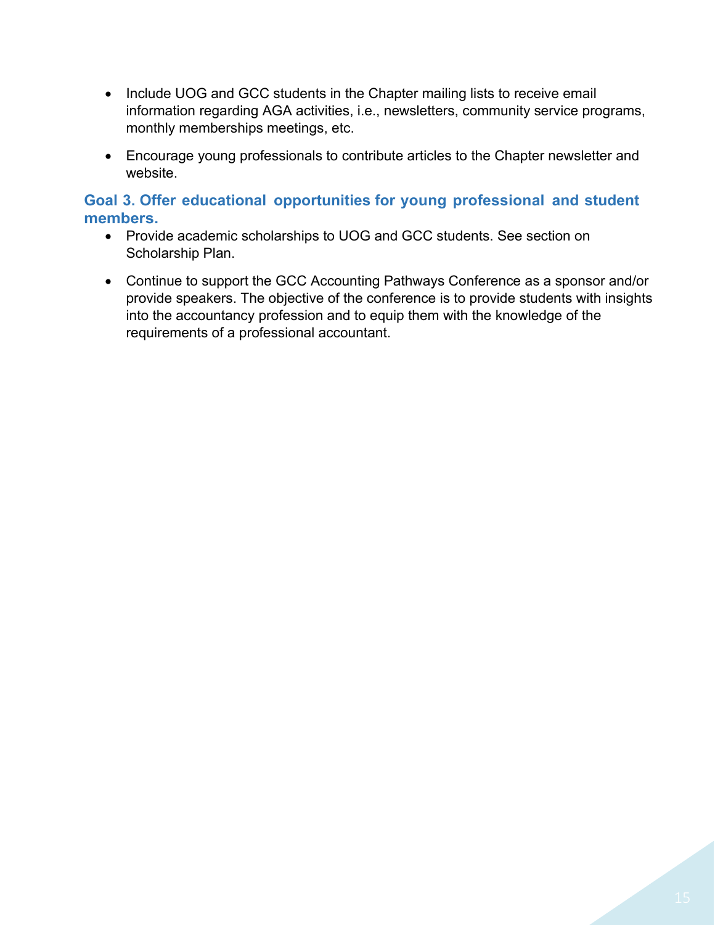- Include UOG and GCC students in the Chapter mailing lists to receive email information regarding AGA activities, i.e., newsletters, community service programs, monthly memberships meetings, etc.
- Encourage young professionals to contribute articles to the Chapter newsletter and website.

#### **Goal 3. Offer educational opportunities for young professional and student members.**

- Provide academic scholarships to UOG and GCC students. See section on Scholarship Plan.
- Continue to support the GCC Accounting Pathways Conference as a sponsor and/or provide speakers. The objective of the conference is to provide students with insights into the accountancy profession and to equip them with the knowledge of the requirements of a professional accountant.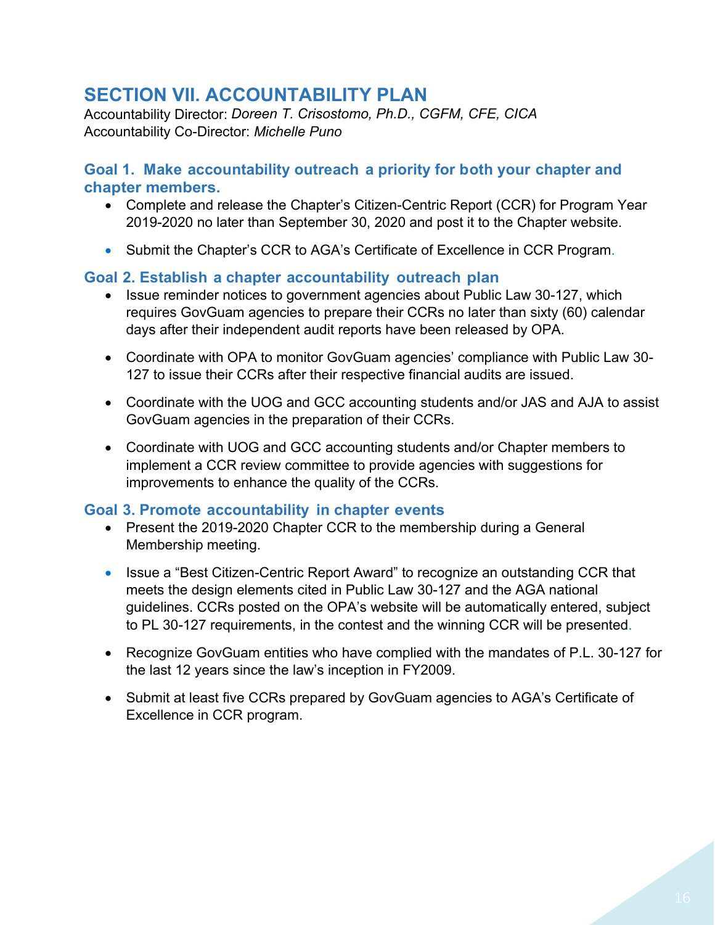# **SECTION VII. ACCOUNTABILITY PLAN**

Accountability Director: *Doreen T. Crisostomo, Ph.D., CGFM, CFE, CICA* Accountability Co-Director: *Michelle Puno*

#### **Goal 1. Make accountability outreach a priority for both your chapter and chapter members.**

- Complete and release the Chapter's Citizen-Centric Report (CCR) for Program Year 2019-2020 no later than September 30, 2020 and post it to the Chapter website.
- Submit the Chapter's CCR to AGA's Certificate of Excellence in CCR Program.

#### **Goal 2. Establish a chapter accountability outreach plan**

- Issue reminder notices to government agencies about Public Law 30-127, which requires GovGuam agencies to prepare their CCRs no later than sixty (60) calendar days after their independent audit reports have been released by OPA.
- Coordinate with OPA to monitor GovGuam agencies' compliance with Public Law 30- 127 to issue their CCRs after their respective financial audits are issued.
- Coordinate with the UOG and GCC accounting students and/or JAS and AJA to assist GovGuam agencies in the preparation of their CCRs.
- Coordinate with UOG and GCC accounting students and/or Chapter members to implement a CCR review committee to provide agencies with suggestions for improvements to enhance the quality of the CCRs.

#### **Goal 3. Promote accountability in chapter events**

- Present the 2019-2020 Chapter CCR to the membership during a General Membership meeting.
- Issue a "Best Citizen-Centric Report Award" to recognize an outstanding CCR that meets the design elements cited in Public Law 30-127 and the AGA national guidelines. CCRs posted on the OPA's website will be automatically entered, subject to PL 30-127 requirements, in the contest and the winning CCR will be presented.
- Recognize GovGuam entities who have complied with the mandates of P.L. 30-127 for the last 12 years since the law's inception in FY2009.
- Submit at least five CCRs prepared by GovGuam agencies to AGA's Certificate of Excellence in CCR program.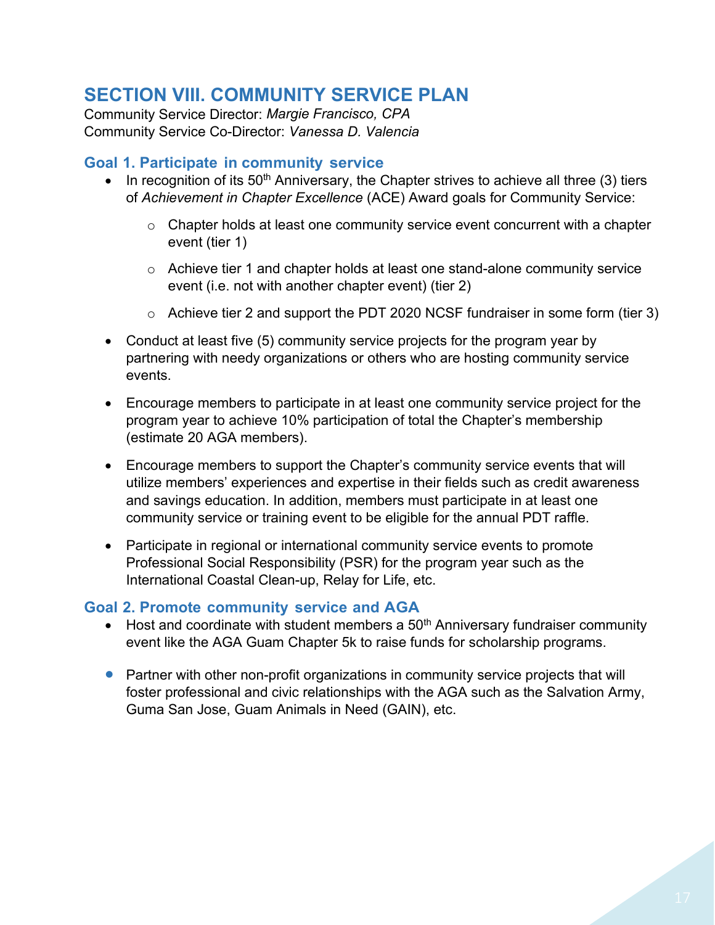## **SECTION VIII. COMMUNITY SERVICE PLAN**

Community Service Director: *Margie Francisco, CPA* Community Service Co-Director: *Vanessa D. Valencia*

#### **Goal 1. Participate in community service**

- In recognition of its  $50<sup>th</sup>$  Anniversary, the Chapter strives to achieve all three (3) tiers of *Achievement in Chapter Excellence* (ACE) Award goals for Community Service:
	- $\circ$  Chapter holds at least one community service event concurrent with a chapter event (tier 1)
	- o Achieve tier 1 and chapter holds at least one stand-alone community service event (i.e. not with another chapter event) (tier 2)
	- o Achieve tier 2 and support the PDT 2020 NCSF fundraiser in some form (tier 3)
- Conduct at least five (5) community service projects for the program year by partnering with needy organizations or others who are hosting community service events.
- Encourage members to participate in at least one community service project for the program year to achieve 10% participation of total the Chapter's membership (estimate 20 AGA members).
- Encourage members to support the Chapter's community service events that will utilize members' experiences and expertise in their fields such as credit awareness and savings education. In addition, members must participate in at least one community service or training event to be eligible for the annual PDT raffle.
- Participate in regional or international community service events to promote Professional Social Responsibility (PSR) for the program year such as the International Coastal Clean-up, Relay for Life, etc.

#### **Goal 2. Promote community service and AGA**

- Host and coordinate with student members a  $50<sup>th</sup>$  Anniversary fundraiser community event like the AGA Guam Chapter 5k to raise funds for scholarship programs.
- **•** Partner with other non-profit organizations in community service projects that will foster professional and civic relationships with the AGA such as the Salvation Army, Guma San Jose, Guam Animals in Need (GAIN), etc.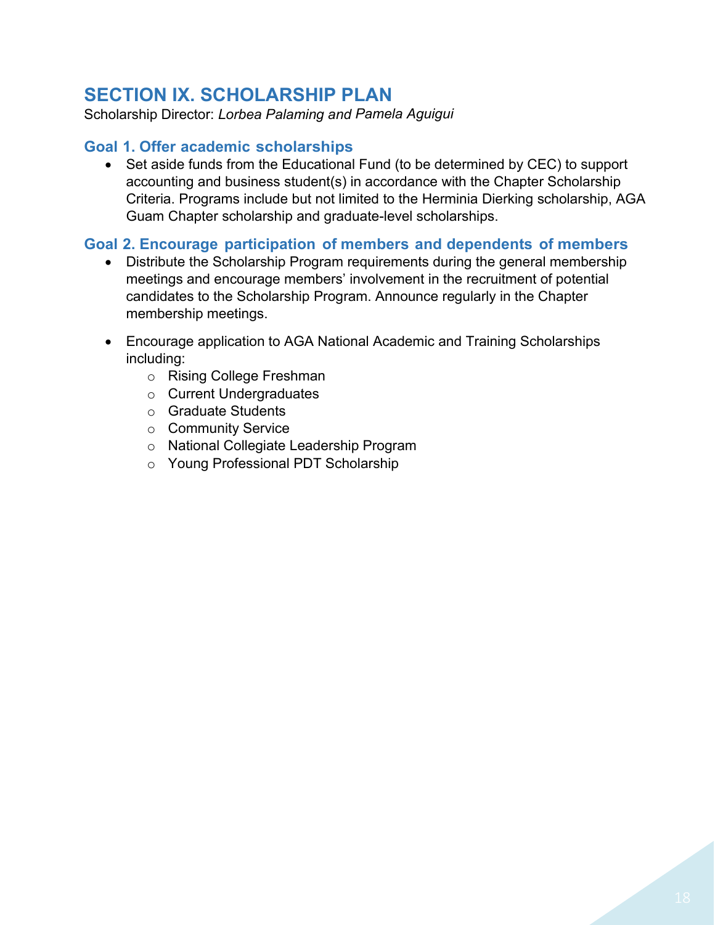# **SECTION IX. SCHOLARSHIP PLAN**

Scholarship Director: *Lorbea Palaming and Pamela Aguigui*

#### **Goal 1. Offer academic scholarships**

• Set aside funds from the Educational Fund (to be determined by CEC) to support accounting and business student(s) in accordance with the Chapter Scholarship Criteria. Programs include but not limited to the Herminia Dierking scholarship, AGA Guam Chapter scholarship and graduate-level scholarships.

#### **Goal 2. Encourage participation of members and dependents of members**

- Distribute the Scholarship Program requirements during the general membership meetings and encourage members' involvement in the recruitment of potential candidates to the Scholarship Program. Announce regularly in the Chapter membership meetings.
- Encourage application to AGA National Academic and Training Scholarships including:
	- o Rising College Freshman
	- o Current Undergraduates
	- o Graduate Students
	- o Community Service
	- o National Collegiate Leadership Program
	- o Young Professional PDT Scholarship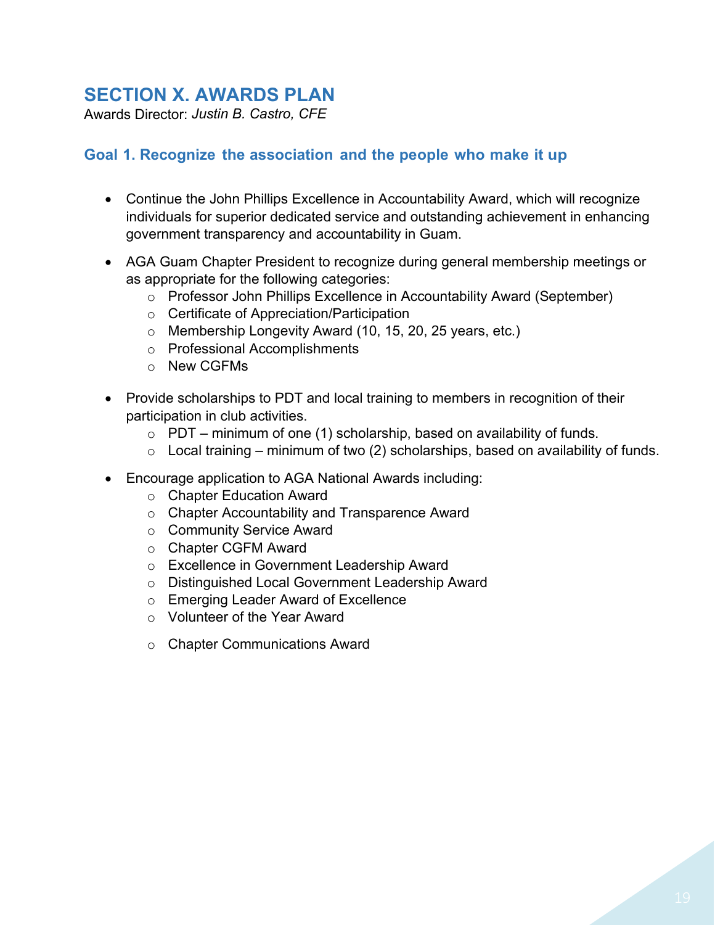# **SECTION X. AWARDS PLAN**

Awards Director: *Justin B. Castro, CFE*

#### **Goal 1. Recognize the association and the people who make it up**

- Continue the John Phillips Excellence in Accountability Award, which will recognize individuals for superior dedicated service and outstanding achievement in enhancing government transparency and accountability in Guam.
- AGA Guam Chapter President to recognize during general membership meetings or as appropriate for the following categories:
	- o Professor John Phillips Excellence in Accountability Award (September)
	- o Certificate of Appreciation/Participation
	- o Membership Longevity Award (10, 15, 20, 25 years, etc.)
	- o Professional Accomplishments
	- o New CGFMs
- Provide scholarships to PDT and local training to members in recognition of their participation in club activities.
	- $\circ$  PDT minimum of one (1) scholarship, based on availability of funds.
	- $\circ$  Local training minimum of two (2) scholarships, based on availability of funds.
- Encourage application to AGA National Awards including:
	- o Chapter Education Award
	- o Chapter Accountability and Transparence Award
	- o Community Service Award
	- o Chapter CGFM Award
	- o Excellence in Government Leadership Award
	- o Distinguished Local Government Leadership Award
	- o Emerging Leader Award of Excellence
	- o Volunteer of the Year Award
	- o Chapter Communications Award